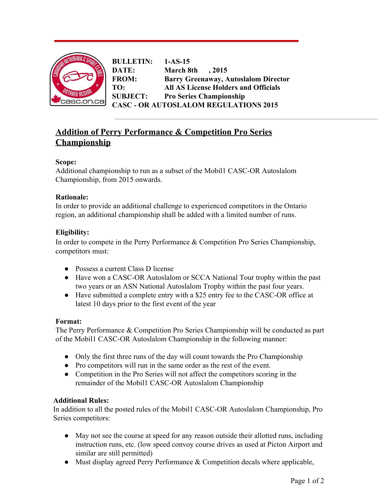

**BULLETIN: 1-AS-15 DATE: March 8th , 2015 FROM: Barry Greenaway, Autoslalom Director TO: All AS License Holders and Officials SUBJECT: Pro Series Championship CASC OR AUTOSLALOM REGULATIONS 2015**

# **Addition of Perry Performance & Competition Pro Series Championship**

# **Scope:**

Additional championship to run as a subset of the Mobil1 CASC-OR Autoslalom Championship, from 2015 onwards.

# **Rationale:**

In order to provide an additional challenge to experienced competitors in the Ontario region, an additional championship shall be added with a limited number of runs.

# **Eligibility:**

In order to compete in the Perry Performance & Competition Pro Series Championship, competitors must:

- Possess a current Class D license
- Have won a CASC-OR Autoslalom or SCCA National Tour trophy within the past two years or an ASN National Autoslalom Trophy within the past four years.
- Have submitted a complete entry with a \$25 entry fee to the CASC-OR office at latest 10 days prior to the first event of the year

# **Format:**

The Perry Performance & Competition Pro Series Championship will be conducted as part of the Mobil1 CASC-OR Autoslalom Championship in the following manner:

- Only the first three runs of the day will count towards the Pro Championship
- Pro competitors will run in the same order as the rest of the event.
- Competition in the Pro Series will not affect the competitors scoring in the remainder of the Mobil1 CASC-OR Autoslalom Championship

# **Additional Rules:**

In addition to all the posted rules of the Mobil1 CASC-OR Autoslalom Championship, Pro Series competitors:

- May not see the course at speed for any reason outside their allotted runs, including instruction runs, etc. (low speed convoy course drives as used at Picton Airport and similar are still permitted)
- Must display agreed Perry Performance  $&$  Competition decals where applicable,